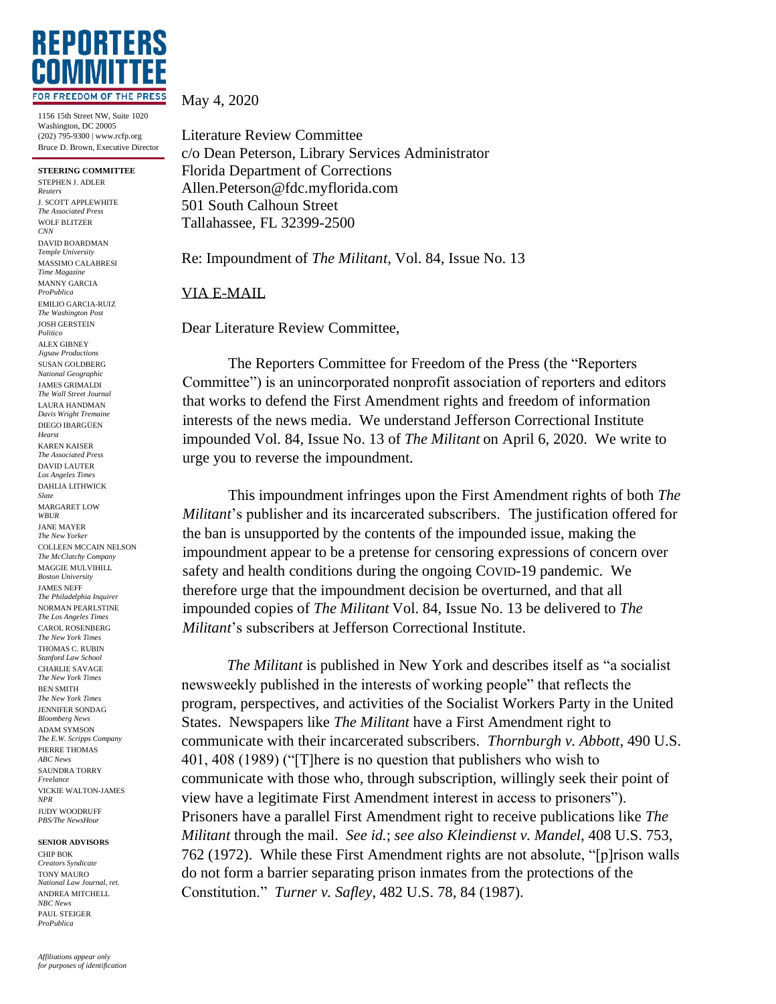

1156 15th Street NW, Suite 1020 Washington, DC 20005 (202) 795-9300 | www.rcfp.org Bruce D. Brown, Executive Director

**STEERING COMMITTEE** STEPHEN J. ADLER *Reuters* J. SCOTT APPLEWHITE *The Associated Press* WOLF BLITZER *CNN* DAVID BOARDMAN *Temple University* MASSIMO CALABRESI *Time Magazine* MANNY GARCIA *ProPublica* EMILIO GARCIA-RUIZ *The Washington Post* JOSH GERSTEIN *Politico* ALEX GIBNEY *Jigsaw Productions* SUSAN GOLDBERG *National Geographic* JAMES GRIMALDI *The Wall Street Journal* LAURA HANDMAN *Davis Wright Tremaine* DIEGO IBARGÜEN *Hearst* KAREN KAISER *The Associated Press* DAVID LAUTER *Los Angeles Times* DAHLIA LITHWICK *Slate* MARGARET LOW *WBUR* JANE MAYER *The New Yorker* COLLEEN MCCAIN NELSON *The McClatchy Company* MAGGIE MULVIHILL *Boston University* JAMES NEFF *The Philadelphia Inquirer* NORMAN PEARLSTINE *The Los Angeles Times* CAROL ROSENBERG *The New York Times* THOMAS C. RUBIN *Stanford Law School* CHARLIE SAVAGE *The New York Times* BEN SMITH *The New York Times* JENNIFER SONDAG *Bloomberg News* ADAM SYMSON *The E.W. Scripps Company* PIERRE THOMAS *ABC News* SAUNDRA TORRY *Freelance* VICKIE WALTON-JAMES *NPR* JUDY WOODRUFF *PBS/The NewsHour*

## **SENIOR ADVISORS**

CHIP BOK *Creators Syndicate* TONY MAURO *National Law Journal, ret.* ANDREA MITCHELL *NBC News* PAUL STEIGER *ProPublica*

May 4, 2020

Literature Review Committee c/o Dean Peterson, Library Services Administrator Florida Department of Corrections Allen.Peterson@fdc.myflorida.com 501 South Calhoun Street Tallahassee, FL 32399-2500

Re: Impoundment of *The Militant*, Vol. 84, Issue No. 13

## VIA E-MAIL

Dear Literature Review Committee,

The Reporters Committee for Freedom of the Press (the "Reporters Committee") is an unincorporated nonprofit association of reporters and editors that works to defend the First Amendment rights and freedom of information interests of the news media. We understand Jefferson Correctional Institute impounded Vol. 84, Issue No. 13 of *The Militant* on April 6, 2020. We write to urge you to reverse the impoundment.

This impoundment infringes upon the First Amendment rights of both *The Militant*'s publisher and its incarcerated subscribers. The justification offered for the ban is unsupported by the contents of the impounded issue, making the impoundment appear to be a pretense for censoring expressions of concern over safety and health conditions during the ongoing COVID-19 pandemic. We therefore urge that the impoundment decision be overturned, and that all impounded copies of *The Militant* Vol. 84, Issue No. 13 be delivered to *The Militant*'s subscribers at Jefferson Correctional Institute.

*The Militant* is published in New York and describes itself as "a socialist newsweekly published in the interests of working people" that reflects the program, perspectives, and activities of the Socialist Workers Party in the United States. Newspapers like *The Militant* have a First Amendment right to communicate with their incarcerated subscribers. *Thornburgh v. Abbott*, 490 U.S. 401, 408 (1989) ("[T]here is no question that publishers who wish to communicate with those who, through subscription, willingly seek their point of view have a legitimate First Amendment interest in access to prisoners"). Prisoners have a parallel First Amendment right to receive publications like *The Militant* through the mail. *See id.*; *see also Kleindienst v. Mandel*, 408 U.S. 753, 762 (1972). While these First Amendment rights are not absolute, "[p]rison walls do not form a barrier separating prison inmates from the protections of the Constitution." *Turner v. Safley*, 482 U.S. 78, 84 (1987).